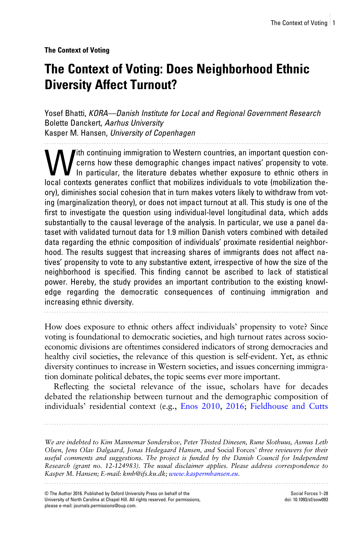The Context of Voting

# The Context of Voting: Does Neighborhood Ethnic Diversity Affect Turnout?

.................................................................................................................. Yosef Bhatti, KORA—Danish Institute for Local and Regional Government Research Bolette Danckert, Aarhus University Kasper M. Hansen, University of Copenhagen

With continuing immigration to Western countries, an important question con-<br>
In particular, the literature debates whether exposure to ethnic others in<br>
legal contexts generates conflict that mobilizes individuals to veta cerns how these demographic changes impact natives' propensity to vote. local contexts generates conflict that mobilizes individuals to vote (mobilization theory), diminishes social cohesion that in turn makes voters likely to withdraw from voting (marginalization theory), or does not impact turnout at all. This study is one of the first to investigate the question using individual-level longitudinal data, which adds substantially to the causal leverage of the analysis. In particular, we use a panel dataset with validated turnout data for 1.9 million Danish voters combined with detailed data regarding the ethnic composition of individuals' proximate residential neighborhood. The results suggest that increasing shares of immigrants does not affect natives' propensity to vote to any substantive extent, irrespective of how the size of the neighborhood is specified. This finding cannot be ascribed to lack of statistical power. Hereby, the study provides an important contribution to the existing knowledge regarding the democratic consequences of continuing immigration and increasing ethnic diversity.

How does exposure to ethnic others affect individuals' propensity to vote? Since voting is foundational to democratic societies, and high turnout rates across socioeconomic divisions are oftentimes considered indicators of strong democracies and healthy civil societies, the relevance of this question is self-evident. Yet, as ethnic diversity continues to increase in Western societies, and issues concerning immigration dominate political debates, the topic seems ever more important.

..................................................................................................................

Reflecting the societal relevance of the issue, scholars have for decades debated the relationship between turnout and the demographic composition of individuals' residential context (e.g., [Enos 2010](#page-25-0), [2016;](#page-25-0) [Fieldhouse and Cutts](#page-25-0)

..................................................................................................................

We are indebted to Kim Mannemar Sønderskov, Peter Thisted Dinesen, Rune Slothuus, Asmus Leth Olsen, Jens Olav Dalgaard, Jonas Hedegaard Hansen, and Social Forces' three reviewers for their useful comments and suggestions. The project is funded by the Danish Council for Independent Research (grant no. 12-124983). The usual disclaimer applies. Please address correspondence to Kasper M. Hansen; E-mail: kmh@ifs.ku.dk; [www.kaspermhansen.eu](http://www.kaspermhansen.eu).

..................................................................................................................

© The Author 2016. Published by Oxford University Press on behalf of the University of North Carolina at Chapel Hill. All rights reserved. For permissions, please e-mail: journals.permissions@oup.com.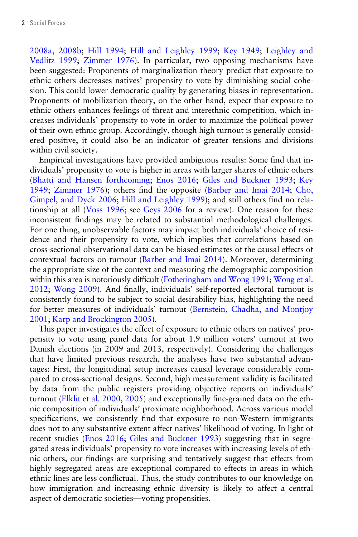[2008a,](#page-25-0) [2008b](#page-25-0); [Hill 1994](#page-25-0); [Hill and Leighley 1999](#page-25-0); [Key 1949](#page-26-0); [Leighley and](#page-26-0) [Vedlitz 1999;](#page-26-0) [Zimmer 1976](#page-27-0)). In particular, two opposing mechanisms have been suggested: Proponents of marginalization theory predict that exposure to ethnic others decreases natives' propensity to vote by diminishing social cohesion. This could lower democratic quality by generating biases in representation. Proponents of mobilization theory, on the other hand, expect that exposure to ethnic others enhances feelings of threat and interethnic competition, which increases individuals' propensity to vote in order to maximize the political power of their own ethnic group. Accordingly, though high turnout is generally considered positive, it could also be an indicator of greater tensions and divisions within civil society.

Empirical investigations have provided ambiguous results: Some find that individuals' propensity to vote is higher in areas with larger shares of ethnic others [\(Bhatti and Hansen forthcoming](#page-24-0); [Enos 2016;](#page-25-0) [Giles and Buckner 1993;](#page-25-0) [Key](#page-26-0) [1949;](#page-26-0) [Zimmer 1976](#page-27-0)); others find the opposite [\(Barber and Imai 2014;](#page-24-0) [Cho,](#page-24-0) [Gimpel, and Dyck 2006;](#page-24-0) [Hill and Leighley 1999](#page-25-0)); and still others find no relationship at all ([Voss 1996;](#page-27-0) see [Geys 2006](#page-25-0) for a review). One reason for these inconsistent findings may be related to substantial methodological challenges. For one thing, unobservable factors may impact both individuals' choice of residence and their propensity to vote, which implies that correlations based on cross-sectional observational data can be biased estimates of the causal effects of contextual factors on turnout [\(Barber and Imai 2014](#page-24-0)). Moreover, determining the appropriate size of the context and measuring the demographic composition within this area is notoriously difficult [\(Fotheringham and Wong 1991;](#page-25-0) [Wong et al.](#page-24-0) [2012;](#page-24-0) [Wong 2009](#page-27-0)). And finally, individuals' self-reported electoral turnout is consistently found to be subject to social desirability bias, highlighting the need for better measures of individuals' turnout [\(Bernstein, Chadha, and Montjoy](#page-24-0) [2001;](#page-24-0) [Karp and Brockington 2005](#page-26-0)).

This paper investigates the effect of exposure to ethnic others on natives' propensity to vote using panel data for about 1.9 million voters' turnout at two Danish elections (in 2009 and 2013, respectively). Considering the challenges that have limited previous research, the analyses have two substantial advantages: First, the longitudinal setup increases causal leverage considerably compared to cross-sectional designs. Second, high measurement validity is facilitated by data from the public registers providing objective reports on individuals' turnout [\(Elklit et al. 2000](#page-25-0), [2005\)](#page-25-0) and exceptionally fine-grained data on the ethnic composition of individuals' proximate neighborhood. Across various model specifications, we consistently find that exposure to non-Western immigrants does not to any substantive extent affect natives' likelihood of voting. In light of recent studies [\(Enos 2016;](#page-25-0) [Giles and Buckner 1993\)](#page-25-0) suggesting that in segregated areas individuals' propensity to vote increases with increasing levels of ethnic others, our findings are surprising and tentatively suggest that effects from highly segregated areas are exceptional compared to effects in areas in which ethnic lines are less conflictual. Thus, the study contributes to our knowledge on how immigration and increasing ethnic diversity is likely to affect a central aspect of democratic societies—voting propensities.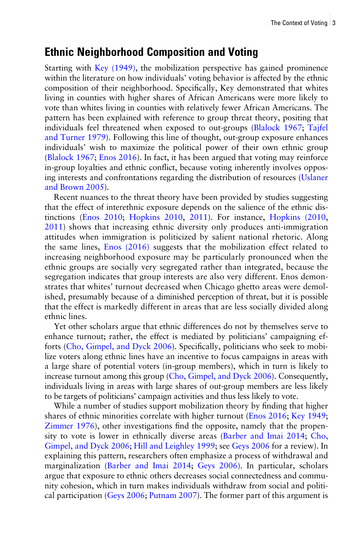## Ethnic Neighborhood Composition and Voting

Starting with [Key \(1949\)](#page-26-0), the mobilization perspective has gained prominence within the literature on how individuals' voting behavior is affected by the ethnic composition of their neighborhood. Specifically, Key demonstrated that whites living in counties with higher shares of African Americans were more likely to vote than whites living in counties with relatively fewer African Americans. The pattern has been explained with reference to group threat theory, positing that individuals feel threatened when exposed to out-groups [\(Blalock 1967](#page-24-0); [Tajfel](#page-26-0) [and Turner 1979\)](#page-26-0). Following this line of thought, out-group exposure enhances individuals' wish to maximize the political power of their own ethnic group [\(Blalock 1967;](#page-24-0) [Enos 2016](#page-25-0)). In fact, it has been argued that voting may reinforce in-group loyalties and ethnic conflict, because voting inherently involves opposing interests and confrontations regarding the distribution of resources [\(Uslaner](#page-26-0) [and Brown 2005\)](#page-26-0).

Recent nuances to the threat theory have been provided by studies suggesting that the effect of interethnic exposure depends on the salience of the ethnic distinctions [\(Enos 2010;](#page-25-0) [Hopkins 2010,](#page-25-0) [2011\)](#page-25-0). For instance, [Hopkins \(2010](#page-25-0), [2011\)](#page-25-0) shows that increasing ethnic diversity only produces anti-immigration attitudes when immigration is politicized by salient national rhetoric. Along the same lines, [Enos \(2016\)](#page-25-0) suggests that the mobilization effect related to increasing neighborhood exposure may be particularly pronounced when the ethnic groups are socially very segregated rather than integrated, because the segregation indicates that group interests are also very different. Enos demonstrates that whites' turnout decreased when Chicago ghetto areas were demolished, presumably because of a diminished perception of threat, but it is possible that the effect is markedly different in areas that are less socially divided along ethnic lines.

Yet other scholars argue that ethnic differences do not by themselves serve to enhance turnout; rather, the effect is mediated by politicians' campaigning efforts ([Cho, Gimpel, and Dyck 2006](#page-24-0)). Specifically, politicians who seek to mobilize voters along ethnic lines have an incentive to focus campaigns in areas with a large share of potential voters (in-group members), which in turn is likely to increase turnout among this group ([Cho, Gimpel, and Dyck 2006\)](#page-24-0). Consequently, individuals living in areas with large shares of out-group members are less likely to be targets of politicians' campaign activities and thus less likely to vote.

While a number of studies support mobilization theory by finding that higher shares of ethnic minorities correlate with higher turnout ([Enos 2016;](#page-25-0) [Key 1949](#page-26-0); [Zimmer 1976](#page-27-0)), other investigations find the opposite, namely that the propensity to vote is lower in ethnically diverse areas [\(Barber and Imai 2014;](#page-24-0) [Cho,](#page-24-0) [Gimpel, and Dyck 2006](#page-24-0); [Hill and Leighley 1999](#page-25-0); see [Geys 2006](#page-25-0) for a review). In explaining this pattern, researchers often emphasize a process of withdrawal and marginalization [\(Barber and Imai 2014;](#page-24-0) [Geys 2006\)](#page-25-0). In particular, scholars argue that exposure to ethnic others decreases social connectedness and community cohesion, which in turn makes individuals withdraw from social and political participation [\(Geys 2006;](#page-25-0) [Putnam 2007\)](#page-26-0). The former part of this argument is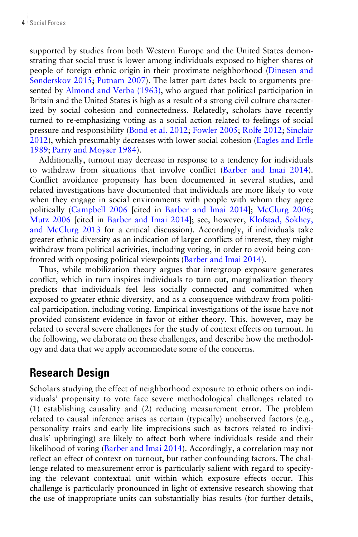supported by studies from both Western Europe and the United States demonstrating that social trust is lower among individuals exposed to higher shares of people of foreign ethnic origin in their proximate neighborhood ([Dinesen and](#page-24-0) [Sønderskov 2015](#page-24-0); [Putnam 2007\)](#page-26-0). The latter part dates back to arguments presented by [Almond and Verba \(1963\),](#page-23-0) who argued that political participation in Britain and the United States is high as a result of a strong civil culture characterized by social cohesion and connectedness. Relatedly, scholars have recently turned to re-emphasizing voting as a social action related to feelings of social pressure and responsibility ([Bond et al. 2012;](#page-24-0) [Fowler 2005](#page-25-0); [Rolfe 2012](#page-26-0); [Sinclair](#page-26-0) [2012\)](#page-26-0), which presumably decreases with lower social cohesion [\(Eagles and Er](#page-24-0)fle [1989;](#page-24-0) [Parry and Moyser 1984\)](#page-26-0).

Additionally, turnout may decrease in response to a tendency for individuals to withdraw from situations that involve conflict [\(Barber and Imai 2014\)](#page-24-0). Conflict avoidance propensity has been documented in several studies, and related investigations have documented that individuals are more likely to vote when they engage in social environments with people with whom they agree politically ([Campbell 2006](#page-24-0) [cited in [Barber and Imai 2014](#page-24-0)]; [McClurg 2006](#page-26-0); [Mutz 2006](#page-26-0) [cited in [Barber and Imai 2014](#page-24-0)]; see, however, [Klofstad, Sokhey,](#page-26-0) [and McClurg 2013](#page-26-0) for a critical discussion). Accordingly, if individuals take greater ethnic diversity as an indication of larger conflicts of interest, they might withdraw from political activities, including voting, in order to avoid being confronted with opposing political viewpoints ([Barber and Imai 2014](#page-24-0)).

Thus, while mobilization theory argues that intergroup exposure generates conflict, which in turn inspires individuals to turn out, marginalization theory predicts that individuals feel less socially connected and committed when exposed to greater ethnic diversity, and as a consequence withdraw from political participation, including voting. Empirical investigations of the issue have not provided consistent evidence in favor of either theory. This, however, may be related to several severe challenges for the study of context effects on turnout. In the following, we elaborate on these challenges, and describe how the methodology and data that we apply accommodate some of the concerns.

# Research Design

Scholars studying the effect of neighborhood exposure to ethnic others on individuals' propensity to vote face severe methodological challenges related to (1) establishing causality and (2) reducing measurement error. The problem related to causal inference arises as certain (typically) unobserved factors (e.g., personality traits and early life imprecisions such as factors related to individuals' upbringing) are likely to affect both where individuals reside and their likelihood of voting ([Barber and Imai 2014\)](#page-24-0). Accordingly, a correlation may not reflect an effect of context on turnout, but rather confounding factors. The challenge related to measurement error is particularly salient with regard to specifying the relevant contextual unit within which exposure effects occur. This challenge is particularly pronounced in light of extensive research showing that the use of inappropriate units can substantially bias results (for further details,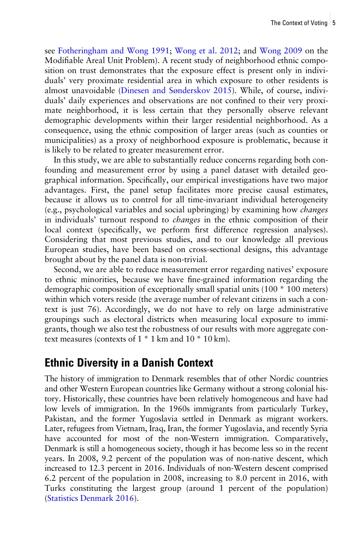see [Fotheringham and Wong 1991;](#page-25-0) [Wong et al. 2012](#page-24-0); and [Wong 2009](#page-27-0) on the Modifiable Areal Unit Problem). A recent study of neighborhood ethnic composition on trust demonstrates that the exposure effect is present only in individuals' very proximate residential area in which exposure to other residents is almost unavoidable ([Dinesen and Sønderskov 2015\)](#page-24-0). While, of course, individuals' daily experiences and observations are not confined to their very proximate neighborhood, it is less certain that they personally observe relevant demographic developments within their larger residential neighborhood. As a consequence, using the ethnic composition of larger areas (such as counties or municipalities) as a proxy of neighborhood exposure is problematic, because it is likely to be related to greater measurement error.

In this study, we are able to substantially reduce concerns regarding both confounding and measurement error by using a panel dataset with detailed geographical information. Specifically, our empirical investigations have two major advantages. First, the panel setup facilitates more precise causal estimates, because it allows us to control for all time-invariant individual heterogeneity (e.g., psychological variables and social upbringing) by examining how changes in individuals' turnout respond to changes in the ethnic composition of their local context (specifically, we perform first difference regression analyses). Considering that most previous studies, and to our knowledge all previous European studies, have been based on cross-sectional designs, this advantage brought about by the panel data is non-trivial.

Second, we are able to reduce measurement error regarding natives' exposure to ethnic minorities, because we have fine-grained information regarding the demographic composition of exceptionally small spatial units (100 \* 100 meters) within which voters reside (the average number of relevant citizens in such a context is just 76). Accordingly, we do not have to rely on large administrative groupings such as electoral districts when measuring local exposure to immigrants, though we also test the robustness of our results with more aggregate context measures (contexts of  $1 * 1$  km and  $10 * 10$  km).

## Ethnic Diversity in a Danish Context

The history of immigration to Denmark resembles that of other Nordic countries and other Western European countries like Germany without a strong colonial history. Historically, these countries have been relatively homogeneous and have had low levels of immigration. In the 1960s immigrants from particularly Turkey, Pakistan, and the former Yugoslavia settled in Denmark as migrant workers. Later, refugees from Vietnam, Iraq, Iran, the former Yugoslavia, and recently Syria have accounted for most of the non-Western immigration. Comparatively, Denmark is still a homogeneous society, though it has become less so in the recent years. In 2008, 9.2 percent of the population was of non-native descent, which increased to 12.3 percent in 2016. Individuals of non-Western descent comprised 6.2 percent of the population in 2008, increasing to 8.0 percent in 2016, with Turks constituting the largest group (around 1 percent of the population) [\(Statistics Denmark 2016\)](#page-26-0).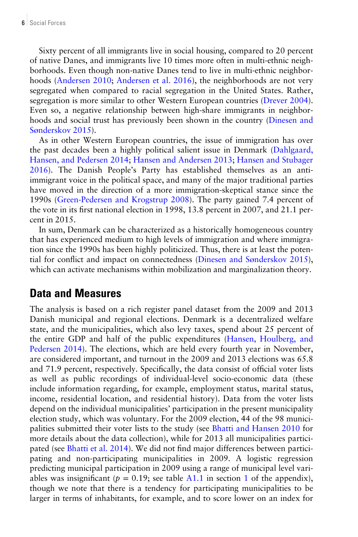Sixty percent of all immigrants live in social housing, compared to 20 percent of native Danes, and immigrants live 10 times more often in multi-ethnic neighborhoods. Even though non-native Danes tend to live in multi-ethnic neighborhoods ([Andersen 2010](#page-24-0); [Andersen et al. 2016](#page-24-0)), the neighborhoods are not very segregated when compared to racial segregation in the United States. Rather, segregation is more similar to other Western European countries ([Drever 2004\)](#page-24-0). Even so, a negative relationship between high-share immigrants in neighborhoods and social trust has previously been shown in the country [\(Dinesen and](#page-24-0) [Sønderskov 2015](#page-24-0)).

As in other Western European countries, the issue of immigration has over the past decades been a highly political salient issue in Denmark ([Dahlgaard,](#page-24-0) [Hansen, and Pedersen 2014](#page-24-0); [Hansen and Andersen 2013](#page-25-0); [Hansen and Stubager](#page-25-0) [2016\)](#page-25-0). The Danish People's Party has established themselves as an antiimmigrant voice in the political space, and many of the major traditional parties have moved in the direction of a more immigration-skeptical stance since the 1990s ([Green-Pedersen and Krogstrup 2008](#page-25-0)). The party gained 7.4 percent of the vote in its first national election in 1998, 13.8 percent in 2007, and 21.1 percent in 2015.

In sum, Denmark can be characterized as a historically homogeneous country that has experienced medium to high levels of immigration and where immigration since the 1990s has been highly politicized. Thus, there is at least the potential for conflict and impact on connectedness ([Dinesen and Sønderskov 2015\)](#page-24-0), which can activate mechanisms within mobilization and marginalization theory.

## Data and Measures

The analysis is based on a rich register panel dataset from the 2009 and 2013 Danish municipal and regional elections. Denmark is a decentralized welfare state, and the municipalities, which also levy taxes, spend about 25 percent of the entire GDP and half of the public expenditures ([Hansen, Houlberg, and](#page-25-0) [Pedersen 2014\)](#page-25-0). The elections, which are held every fourth year in November, are considered important, and turnout in the 2009 and 2013 elections was 65.8 and 71.9 percent, respectively. Specifically, the data consist of official voter lists as well as public recordings of individual-level socio-economic data (these include information regarding, for example, employment status, marital status, income, residential location, and residential history). Data from the voter lists depend on the individual municipalities' participation in the present municipality election study, which was voluntary. For the 2009 election, 44 of the 98 municipalities submitted their voter lists to the study (see [Bhatti and Hansen 2010](#page-24-0) for more details about the data collection), while for 2013 all municipalities participated (see [Bhatti et al. 2014\)](#page-24-0). We did not find major differences between participating and non-participating municipalities in 2009. A logistic regression predicting municipal participation in 2009 using a range of municipal level variables was insignificant ( $p = 0.19$ ; see table [A1.1](#page-14-0) in section 1 of the appendix), though we note that there is a tendency for participating municipalities to be larger in terms of inhabitants, for example, and to score lower on an index for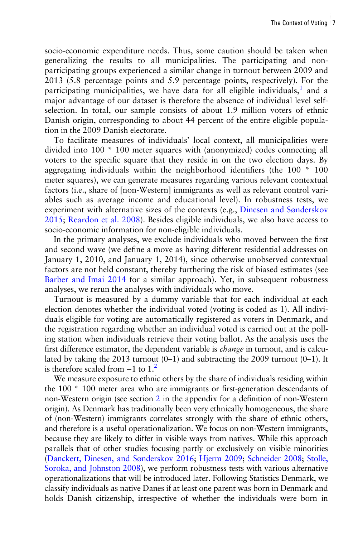socio-economic expenditure needs. Thus, some caution should be taken when generalizing the results to all municipalities. The participating and nonparticipating groups experienced a similar change in turnout between 2009 and 2013 (5.8 percentage points and 5.9 percentage points, respectively). For the participating municipalities, we have data for all eligible individuals, and a major advantage of our dataset is therefore the absence of individual level selfselection. In total, our sample consists of about 1.9 million voters of ethnic Danish origin, corresponding to about 44 percent of the entire eligible population in the 2009 Danish electorate.

To facilitate measures of individuals' local context, all municipalities were divided into 100 \* 100 meter squares with (anonymized) codes connecting all voters to the specific square that they reside in on the two election days. By aggregating individuals within the neighborhood identifiers (the 100 \* 100 meter squares), we can generate measures regarding various relevant contextual factors (i.e., share of [non-Western] immigrants as well as relevant control variables such as average income and educational level). In robustness tests, we experiment with alternative sizes of the contexts (e.g., [Dinesen and Sønderskov](#page-24-0) [2015;](#page-24-0) [Reardon et al. 2008](#page-26-0)). Besides eligible individuals, we also have access to socio-economic information for non-eligible individuals.

In the primary analyses, we exclude individuals who moved between the first and second wave (we define a move as having different residential addresses on January 1, 2010, and January 1, 2014), since otherwise unobserved contextual factors are not held constant, thereby furthering the risk of biased estimates (see [Barber and Imai 2014](#page-24-0) for a similar approach). Yet, in subsequent robustness analyses, we rerun the analyses with individuals who move.

Turnout is measured by a dummy variable that for each individual at each election denotes whether the individual voted (voting is coded as 1). All individuals eligible for voting are automatically registered as voters in Denmark, and the registration regarding whether an individual voted is carried out at the polling station when individuals retrieve their voting ballot. As the analysis uses the first difference estimator, the dependent variable is change in turnout, and is calculated by taking the 2013 turnout (0–1) and subtracting the 2009 turnout (0–1). It is therefore scaled from  $-1$  to  $1<sup>2</sup>$ .

We measure exposure to ethnic others by the share of individuals residing within the 100 \* 100 meter area who are immigrants or first-generation descendants of non-Western origin (see section 2 in the appendix for a definition of non-Western origin). As Denmark has traditionally been very ethnically homogeneous, the share of (non-Western) immigrants correlates strongly with the share of ethnic others, and therefore is a useful operationalization. We focus on non-Western immigrants, because they are likely to differ in visible ways from natives. While this approach parallels that of other studies focusing partly or exclusively on visible minorities [\(Danckert, Dinesen, and Sønderskov 2016](#page-24-0); [Hjerm 2009;](#page-25-0) [Schneider 2008](#page-26-0); [Stolle,](#page-26-0) [Soroka, and Johnston 2008\)](#page-26-0), we perform robustness tests with various alternative operationalizations that will be introduced later. Following Statistics Denmark, we classify individuals as native Danes if at least one parent was born in Denmark and holds Danish citizenship, irrespective of whether the individuals were born in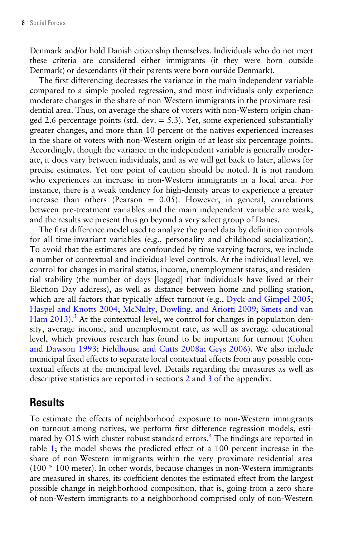Denmark and/or hold Danish citizenship themselves. Individuals who do not meet these criteria are considered either immigrants (if they were born outside Denmark) or descendants (if their parents were born outside Denmark).

The first differencing decreases the variance in the main independent variable compared to a simple pooled regression, and most individuals only experience moderate changes in the share of non-Western immigrants in the proximate residential area. Thus, on average the share of voters with non-Western origin changed 2.6 percentage points (std. dev.  $= 5.3$ ). Yet, some experienced substantially greater changes, and more than 10 percent of the natives experienced increases in the share of voters with non-Western origin of at least six percentage points. Accordingly, though the variance in the independent variable is generally moderate, it does vary between individuals, and as we will get back to later, allows for precise estimates. Yet one point of caution should be noted. It is not random who experiences an increase in non-Western immigrants in a local area. For instance, there is a weak tendency for high-density areas to experience a greater increase than others (Pearson  $= 0.05$ ). However, in general, correlations between pre-treatment variables and the main independent variable are weak, and the results we present thus go beyond a very select group of Danes.

The first difference model used to analyze the panel data by definition controls for all time-invariant variables (e.g., personality and childhood socialization). To avoid that the estimates are confounded by time-varying factors, we include a number of contextual and individual-level controls. At the individual level, we control for changes in marital status, income, unemployment status, and residential stability (the number of days [logged] that individuals have lived at their Election Day address), as well as distance between home and polling station, which are all factors that typically affect turnout (e.g., [Dyck and Gimpel 2005](#page-24-0); [Haspel and Knotts 2004](#page-25-0); [McNulty, Dowling, and Ariotti 2009](#page-26-0); [Smets and van](#page-26-0) Ham  $2013$ ).<sup>3</sup> At the contextual level, we control for changes in population density, average income, and unemployment rate, as well as average educational level, which previous research has found to be important for turnout ([Cohen](#page-24-0) [and Dawson 1993;](#page-24-0) [Fieldhouse and Cutts 2008a;](#page-25-0) [Geys 2006\)](#page-25-0). We also include municipal fixed effects to separate local contextual effects from any possible contextual effects at the municipal level. Details regarding the measures as well as descriptive statistics are reported in sections 2 and 3 of the appendix.

## **Results**

To estimate the effects of neighborhood exposure to non-Western immigrants on turnout among natives, we perform first difference regression models, estimated by OLS with cluster robust standard errors.<sup>4</sup> The findings are reported in table [1](#page-8-0); the model shows the predicted effect of a 100 percent increase in the share of non-Western immigrants within the very proximate residential area (100 \* 100 meter). In other words, because changes in non-Western immigrants are measured in shares, its coefficient denotes the estimated effect from the largest possible change in neighborhood composition, that is, going from a zero share of non-Western immigrants to a neighborhood comprised only of non-Western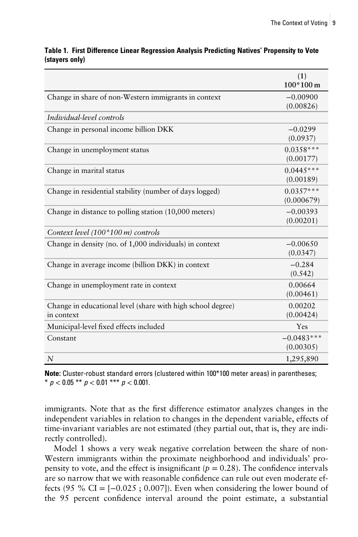|                                                                           | (1)<br>$100*100$ m        |
|---------------------------------------------------------------------------|---------------------------|
| Change in share of non-Western immigrants in context                      | $-0.00900$<br>(0.00826)   |
| Individual-level controls                                                 |                           |
| Change in personal income billion DKK                                     | $-0.0299$<br>(0.0937)     |
| Change in unemployment status                                             | $0.0358***$<br>(0.00177)  |
| Change in marital status                                                  | $0.0445***$<br>(0.00189)  |
| Change in residential stability (number of days logged)                   | $0.0357***$<br>(0.000679) |
| Change in distance to polling station (10,000 meters)                     | $-0.00393$<br>(0.00201)   |
| Context level $(100*100 m)$ controls                                      |                           |
| Change in density (no. of 1,000 individuals) in context                   | $-0.00650$<br>(0.0347)    |
| Change in average income (billion DKK) in context                         | $-0.284$<br>(0.542)       |
| Change in unemployment rate in context                                    | 0.00664<br>(0.00461)      |
| Change in educational level (share with high school degree)<br>in context | 0.00202<br>(0.00424)      |
| Municipal-level fixed effects included                                    | Yes                       |
| Constant                                                                  | $-0.0483***$<br>(0.00305) |
| N                                                                         | 1,295,890                 |

#### <span id="page-8-0"></span>Table 1. First Difference Linear Regression Analysis Predicting Natives' Propensity to Vote (stayers only)

Note: Cluster-robust standard errors (clustered within 100\*100 meter areas) in parentheses; \*  $p < 0.05$  \*\*  $p < 0.01$  \*\*\*  $p < 0.001$ .

immigrants. Note that as the first difference estimator analyzes changes in the independent variables in relation to changes in the dependent variable, effects of time-invariant variables are not estimated (they partial out, that is, they are indirectly controlled).

Model 1 shows a very weak negative correlation between the share of non-Western immigrants within the proximate neighborhood and individuals' propensity to vote, and the effect is insignificant ( $p = 0.28$ ). The confidence intervals are so narrow that we with reasonable confidence can rule out even moderate effects (95 % CI =  $[-0.025; 0.007]$ ). Even when considering the lower bound of the 95 percent confidence interval around the point estimate, a substantial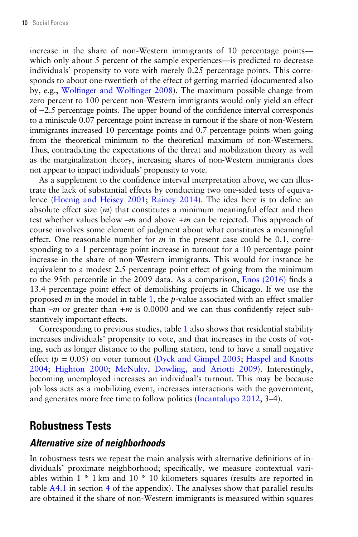increase in the share of non-Western immigrants of 10 percentage points which only about 5 percent of the sample experiences—is predicted to decrease individuals' propensity to vote with merely 0.25 percentage points. This corresponds to about one-twentieth of the effect of getting married (documented also by, e.g., Wolfi[nger and Wol](#page-27-0)finger 2008). The maximum possible change from zero percent to 100 percent non-Western immigrants would only yield an effect of −2.5 percentage points. The upper bound of the confidence interval corresponds to a miniscule 0.07 percentage point increase in turnout if the share of non-Western immigrants increased 10 percentage points and 0.7 percentage points when going from the theoretical minimum to the theoretical maximum of non-Westerners. Thus, contradicting the expectations of the threat and mobilization theory as well as the marginalization theory, increasing shares of non-Western immigrants does not appear to impact individuals' propensity to vote.

As a supplement to the confidence interval interpretation above, we can illustrate the lack of substantial effects by conducting two one-sided tests of equivalence ([Hoenig and Heisey 2001;](#page-25-0) [Rainey 2014\)](#page-26-0). The idea here is to define an absolute effect size  $(m)$  that constitutes a minimum meaningful effect and then test whether values below  $-m$  and above  $+m$  can be rejected. This approach of course involves some element of judgment about what constitutes a meaningful effect. One reasonable number for  $m$  in the present case could be 0.1, corresponding to a 1 percentage point increase in turnout for a 10 percentage point increase in the share of non-Western immigrants. This would for instance be equivalent to a modest 2.5 percentage point effect of going from the minimum to the 95th percentile in the 2009 data. As a comparison, [Enos \(2016\)](#page-25-0) finds a 13.4 percentage point effect of demolishing projects in Chicago. If we use the proposed  $m$  in the model in table [1,](#page-8-0) the  $p$ -value associated with an effect smaller than  $-m$  or greater than  $+m$  is 0.0000 and we can thus confidently reject substantively important effects.

Corresponding to previous studies, table [1](#page-8-0) also shows that residential stability increases individuals' propensity to vote, and that increases in the costs of voting, such as longer distance to the polling station, tend to have a small negative effect ( $p = 0.05$ ) on voter turnout ([Dyck and Gimpel 2005;](#page-24-0) [Haspel and Knotts](#page-25-0) [2004;](#page-25-0) [Highton 2000](#page-25-0); [McNulty, Dowling, and Ariotti 2009\)](#page-26-0). Interestingly, becoming unemployed increases an individual's turnout. This may be because job loss acts as a mobilizing event, increases interactions with the government, and generates more free time to follow politics ([Incantalupo 2012,](#page-25-0) 3–4).

## Robustness Tests

### Alternative size of neighborhoods

In robustness tests we repeat the main analysis with alternative definitions of individuals' proximate neighborhood; specifically, we measure contextual variables within 1 \* 1 km and 10 \* 10 kilometers squares (results are reported in table  $A4.1$  in section 4 of the appendix). The analyses show that parallel results are obtained if the share of non-Western immigrants is measured within squares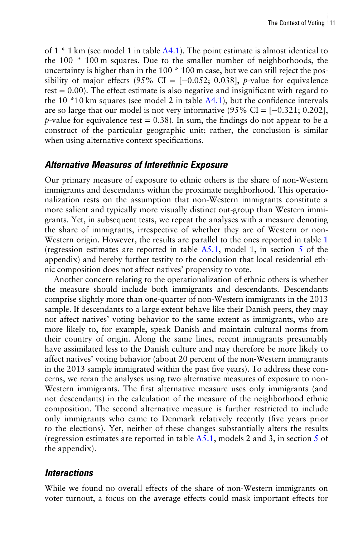of  $1 * 1$  km (see model 1 in table [A4.1\)](#page-16-0). The point estimate is almost identical to the 100 \* 100 m squares. Due to the smaller number of neighborhoods, the uncertainty is higher than in the 100 \* 100 m case, but we can still reject the possibility of major effects (95% CI =  $[-0.052; 0.038]$ , *p*-value for equivalence test  $= 0.00$ ). The effect estimate is also negative and insignificant with regard to the 10 \*10 km squares (see model 2 in table [A4.1](#page-16-0)), but the confidence intervals are so large that our model is not very informative  $(95\% \text{ CI} = [-0.321; 0.202]$ , p-value for equivalence test =  $0.38$ ). In sum, the findings do not appear to be a construct of the particular geographic unit; rather, the conclusion is similar when using alternative context specifications.

### Alternative Measures of Interethnic Exposure

Our primary measure of exposure to ethnic others is the share of non-Western immigrants and descendants within the proximate neighborhood. This operationalization rests on the assumption that non-Western immigrants constitute a more salient and typically more visually distinct out-group than Western immigrants. Yet, in subsequent tests, we repeat the analyses with a measure denoting the share of immigrants, irrespective of whether they are of Western or non-Western origin. However, the results are parallel to the ones reported in table [1](#page-8-0) (regression estimates are reported in table  $A5.1$ , model 1, in section 5 of the appendix) and hereby further testify to the conclusion that local residential ethnic composition does not affect natives' propensity to vote.

Another concern relating to the operationalization of ethnic others is whether the measure should include both immigrants and descendants. Descendants comprise slightly more than one-quarter of non-Western immigrants in the 2013 sample. If descendants to a large extent behave like their Danish peers, they may not affect natives' voting behavior to the same extent as immigrants, who are more likely to, for example, speak Danish and maintain cultural norms from their country of origin. Along the same lines, recent immigrants presumably have assimilated less to the Danish culture and may therefore be more likely to affect natives' voting behavior (about 20 percent of the non-Western immigrants in the 2013 sample immigrated within the past five years). To address these concerns, we reran the analyses using two alternative measures of exposure to non-Western immigrants. The first alternative measure uses only immigrants (and not descendants) in the calculation of the measure of the neighborhood ethnic composition. The second alternative measure is further restricted to include only immigrants who came to Denmark relatively recently (five years prior to the elections). Yet, neither of these changes substantially alters the results (regression estimates are reported in table [A5.1](#page-18-0), models 2 and 3, in section 5 of the appendix).

### Interactions

While we found no overall effects of the share of non-Western immigrants on voter turnout, a focus on the average effects could mask important effects for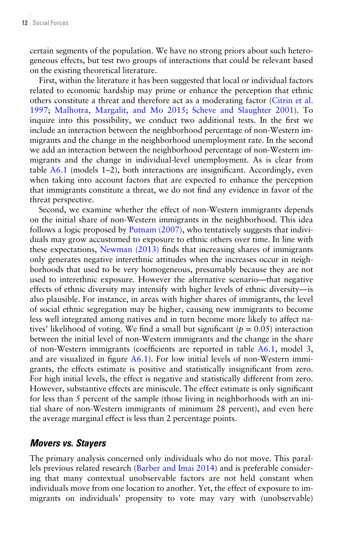certain segments of the population. We have no strong priors about such heterogeneous effects, but test two groups of interactions that could be relevant based on the existing theoretical literature.

First, within the literature it has been suggested that local or individual factors related to economic hardship may prime or enhance the perception that ethnic others constitute a threat and therefore act as a moderating factor [\(Citrin et al.](#page-24-0) [1997;](#page-24-0) [Malhotra, Margalit, and Mo 2015](#page-26-0); [Scheve and Slaughter 2001\)](#page-26-0). To inquire into this possibility, we conduct two additional tests. In the first we include an interaction between the neighborhood percentage of non-Western immigrants and the change in the neighborhood unemployment rate. In the second we add an interaction between the neighborhood percentage of non-Western immigrants and the change in individual-level unemployment. As is clear from table  $A6.1$  (models 1–2), both interactions are insignificant. Accordingly, even when taking into account factors that are expected to enhance the perception that immigrants constitute a threat, we do not find any evidence in favor of the threat perspective.

Second, we examine whether the effect of non-Western immigrants depends on the initial share of non-Western immigrants in the neighborhood. This idea follows a logic proposed by [Putnam \(2007\),](#page-26-0) who tentatively suggests that individuals may grow accustomed to exposure to ethnic others over time. In line with these expectations, [Newman \(2013\)](#page-26-0) finds that increasing shares of immigrants only generates negative interethnic attitudes when the increases occur in neighborhoods that used to be very homogeneous, presumably because they are not used to interethnic exposure. However the alternative scenario—that negative effects of ethnic diversity may intensify with higher levels of ethnic diversity—is also plausible. For instance, in areas with higher shares of immigrants, the level of social ethnic segregation may be higher, causing new immigrants to become less well integrated among natives and in turn become more likely to affect natives' likelihood of voting. We find a small but significant ( $p = 0.05$ ) interaction between the initial level of non-Western immigrants and the change in the share of non-Western immigrants (coefficients are reported in table [A6.1,](#page-19-0) model 3, and are visualized in figure [A6.1\)](#page-21-0). For low initial levels of non-Western immigrants, the effects estimate is positive and statistically insignificant from zero. For high initial levels, the effect is negative and statistically different from zero. However, substantive effects are miniscule. The effect estimate is only significant for less than 5 percent of the sample (those living in neighborhoods with an initial share of non-Western immigrants of minimum 28 percent), and even here the average marginal effect is less than 2 percentage points.

### Movers vs. Stayers

The primary analysis concerned only individuals who do not move. This parallels previous related research ([Barber and Imai 2014\)](#page-24-0) and is preferable considering that many contextual unobservable factors are not held constant when individuals move from one location to another. Yet, the effect of exposure to immigrants on individuals' propensity to vote may vary with (unobservable)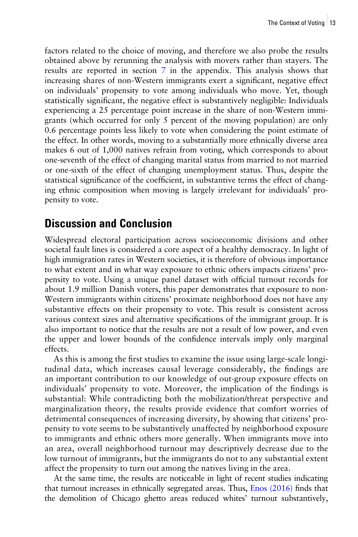factors related to the choice of moving, and therefore we also probe the results obtained above by rerunning the analysis with movers rather than stayers. The results are reported in section 7 in the appendix. This analysis shows that increasing shares of non-Western immigrants exert a significant, negative effect on individuals' propensity to vote among individuals who move. Yet, though statistically significant, the negative effect is substantively negligible: Individuals experiencing a 25 percentage point increase in the share of non-Western immigrants (which occurred for only 5 percent of the moving population) are only 0.6 percentage points less likely to vote when considering the point estimate of the effect. In other words, moving to a substantially more ethnically diverse area makes 6 out of 1,000 natives refrain from voting, which corresponds to about one-seventh of the effect of changing marital status from married to not married or one-sixth of the effect of changing unemployment status. Thus, despite the statistical significance of the coefficient, in substantive terms the effect of changing ethnic composition when moving is largely irrelevant for individuals' propensity to vote.

## Discussion and Conclusion

Widespread electoral participation across socioeconomic divisions and other societal fault lines is considered a core aspect of a healthy democracy. In light of high immigration rates in Western societies, it is therefore of obvious importance to what extent and in what way exposure to ethnic others impacts citizens' propensity to vote. Using a unique panel dataset with official turnout records for about 1.9 million Danish voters, this paper demonstrates that exposure to non-Western immigrants within citizens' proximate neighborhood does not have any substantive effects on their propensity to vote. This result is consistent across various context sizes and alternative specifications of the immigrant group. It is also important to notice that the results are not a result of low power, and even the upper and lower bounds of the confidence intervals imply only marginal effects.

As this is among the first studies to examine the issue using large-scale longitudinal data, which increases causal leverage considerably, the findings are an important contribution to our knowledge of out-group exposure effects on individuals' propensity to vote. Moreover, the implication of the findings is substantial: While contradicting both the mobilization/threat perspective and marginalization theory, the results provide evidence that comfort worries of detrimental consequences of increasing diversity, by showing that citizens' propensity to vote seems to be substantively unaffected by neighborhood exposure to immigrants and ethnic others more generally. When immigrants move into an area, overall neighborhood turnout may descriptively decrease due to the low turnout of immigrants, but the immigrants do not to any substantial extent affect the propensity to turn out among the natives living in the area.

At the same time, the results are noticeable in light of recent studies indicating that turnout increases in ethnically segregated areas. Thus, [Enos \(2016\)](#page-25-0) finds that the demolition of Chicago ghetto areas reduced whites' turnout substantively,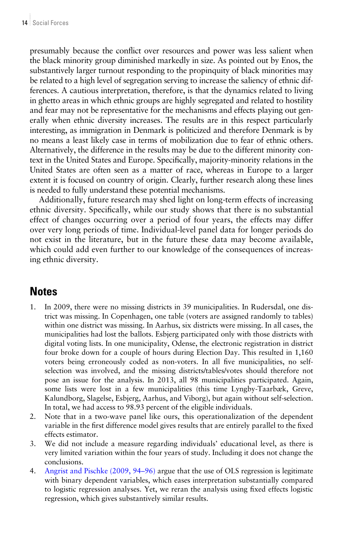presumably because the conflict over resources and power was less salient when the black minority group diminished markedly in size. As pointed out by Enos, the substantively larger turnout responding to the propinquity of black minorities may be related to a high level of segregation serving to increase the saliency of ethnic differences. A cautious interpretation, therefore, is that the dynamics related to living in ghetto areas in which ethnic groups are highly segregated and related to hostility and fear may not be representative for the mechanisms and effects playing out generally when ethnic diversity increases. The results are in this respect particularly interesting, as immigration in Denmark is politicized and therefore Denmark is by no means a least likely case in terms of mobilization due to fear of ethnic others. Alternatively, the difference in the results may be due to the different minority context in the United States and Europe. Specifically, majority-minority relations in the United States are often seen as a matter of race, whereas in Europe to a larger extent it is focused on country of origin. Clearly, further research along these lines is needed to fully understand these potential mechanisms.

Additionally, future research may shed light on long-term effects of increasing ethnic diversity. Specifically, while our study shows that there is no substantial effect of changes occurring over a period of four years, the effects may differ over very long periods of time. Individual-level panel data for longer periods do not exist in the literature, but in the future these data may become available, which could add even further to our knowledge of the consequences of increasing ethnic diversity.

## **Notes**

- 1. In 2009, there were no missing districts in 39 municipalities. In Rudersdal, one district was missing. In Copenhagen, one table (voters are assigned randomly to tables) within one district was missing. In Aarhus, six districts were missing. In all cases, the municipalities had lost the ballots. Esbjerg participated only with those districts with digital voting lists. In one municipality, Odense, the electronic registration in district four broke down for a couple of hours during Election Day. This resulted in 1,160 voters being erroneously coded as non-voters. In all five municipalities, no selfselection was involved, and the missing districts/tables/votes should therefore not pose an issue for the analysis. In 2013, all 98 municipalities participated. Again, some lists were lost in a few municipalities (this time Lyngby-Taarbæk, Greve, Kalundborg, Slagelse, Esbjerg, Aarhus, and Viborg), but again without self-selection. In total, we had access to 98.93 percent of the eligible individuals.
- 2. Note that in a two-wave panel like ours, this operationalization of the dependent variable in the first difference model gives results that are entirely parallel to the fixed effects estimator.
- 3. We did not include a measure regarding individuals' educational level, as there is very limited variation within the four years of study. Including it does not change the conclusions.
- 4. [Angrist and Pischke \(2009, 94](#page-24-0)–96) argue that the use of OLS regression is legitimate with binary dependent variables, which eases interpretation substantially compared to logistic regression analyses. Yet, we reran the analysis using fixed effects logistic regression, which gives substantively similar results.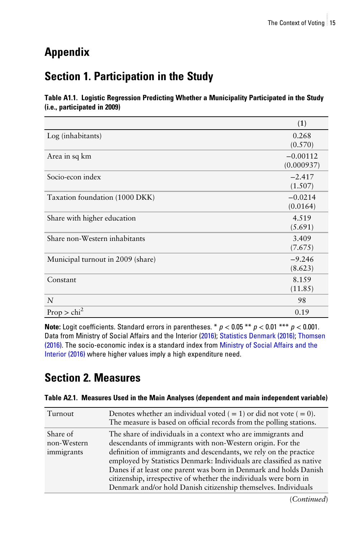# <span id="page-14-0"></span>Appendix

# Section 1. Participation in the Study

#### Table A1.1. Logistic Regression Predicting Whether a Municipality Participated in the Study (i.e., participated in 2009)

|                                   | (1)                      |
|-----------------------------------|--------------------------|
| Log (inhabitants)                 | 0.268<br>(0.570)         |
| Area in sq km                     | $-0.00112$<br>(0.000937) |
| Socio-econ index                  | $-2.417$<br>(1.507)      |
| Taxation foundation (1000 DKK)    | $-0.0214$<br>(0.0164)    |
| Share with higher education       | 4.519<br>(5.691)         |
| Share non-Western inhabitants     | 3.409<br>(7.675)         |
| Municipal turnout in 2009 (share) | $-9.246$<br>(8.623)      |
| Constant                          | 8.159<br>(11.85)         |
| $\overline{N}$                    | 98                       |
| Prop > chi <sup>2</sup>           | 0.19                     |

Note: Logit coefficients. Standard errors in parentheses. \*  $p < 0.05$  \*\*  $p < 0.01$  \*\*\*  $p < 0.001$ . Data from Ministry of Social Affairs and the Interior ([2016](#page-26-0)); [Statistics Denmark \(2016\)](#page-26-0); [Thomsen](#page-26-0) [\(2016\)](#page-26-0). The socio-economic index is a standard index from [Ministry of Social Affairs and the](#page-26-0) [Interior \(2016\)](#page-26-0) where higher values imply a high expenditure need.

# Section 2. Measures

#### Table A2.1. Measures Used in the Main Analyses (dependent and main independent variable)

| Turnout                               | Denotes whether an individual voted $( = 1)$ or did not vote $( = 0)$ .<br>The measure is based on official records from the polling stations.                                                                                                                                                                                                                                                                                                                                      |
|---------------------------------------|-------------------------------------------------------------------------------------------------------------------------------------------------------------------------------------------------------------------------------------------------------------------------------------------------------------------------------------------------------------------------------------------------------------------------------------------------------------------------------------|
| Share of<br>non-Western<br>immigrants | The share of individuals in a context who are immigrants and<br>descendants of immigrants with non-Western origin. For the<br>definition of immigrants and descendants, we rely on the practice<br>employed by Statistics Denmark: Individuals are classified as native<br>Danes if at least one parent was born in Denmark and holds Danish<br>citizenship, irrespective of whether the individuals were born in<br>Denmark and/or hold Danish citizenship themselves. Individuals |

(Continued)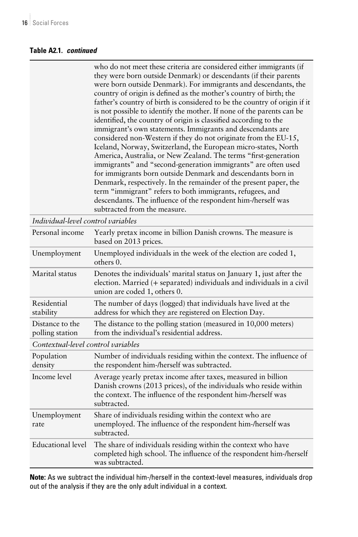### Table A2.1. continued

| who do not meet these criteria are considered either immigrants (if       |
|---------------------------------------------------------------------------|
| they were born outside Denmark) or descendants (if their parents          |
| were born outside Denmark). For immigrants and descendants, the           |
| country of origin is defined as the mother's country of birth; the        |
| father's country of birth is considered to be the country of origin if it |
| is not possible to identify the mother. If none of the parents can be     |
| identified, the country of origin is classified according to the          |
| immigrant's own statements. Immigrants and descendants are                |
| considered non-Western if they do not originate from the EU-15,           |
| Iceland, Norway, Switzerland, the European micro-states, North            |
| America, Australia, or New Zealand. The terms "first-generation           |
| immigrants" and "second-generation immigrants" are often used             |
| for immigrants born outside Denmark and descendants born in               |
| Denmark, respectively. In the remainder of the present paper, the         |
| term "immigrant" refers to both immigrants, refugees, and                 |
| descendants. The influence of the respondent him-/herself was             |
| subtracted from the measure.                                              |

Individual-level control variables

| Personal income                    | Yearly pretax income in billion Danish crowns. The measure is<br>based on 2013 prices.                                                                                                                             |
|------------------------------------|--------------------------------------------------------------------------------------------------------------------------------------------------------------------------------------------------------------------|
| Unemployment                       | Unemployed individuals in the week of the election are coded 1,<br>others 0.                                                                                                                                       |
| Marital status                     | Denotes the individuals' marital status on January 1, just after the<br>election. Married (+ separated) individuals and individuals in a civil<br>union are coded 1, others 0.                                     |
| Residential<br>stability           | The number of days (logged) that individuals have lived at the<br>address for which they are registered on Election Day.                                                                                           |
| Distance to the<br>polling station | The distance to the polling station (measured in 10,000 meters)<br>from the individual's residential address.                                                                                                      |
| Contextual-level control variables |                                                                                                                                                                                                                    |
| Population<br>density              | Number of individuals residing within the context. The influence of<br>the respondent him-/herself was subtracted.                                                                                                 |
| Income level                       | Average yearly pretax income after taxes, measured in billion<br>Danish crowns (2013 prices), of the individuals who reside within<br>the context. The influence of the respondent him-/herself was<br>subtracted. |
| Unemployment<br>rate               | Share of individuals residing within the context who are<br>unemployed. The influence of the respondent him-/herself was<br>subtracted.                                                                            |
| Educational level                  | The share of individuals residing within the context who have<br>completed high school. The influence of the respondent him-/herself<br>was subtracted.                                                            |

Note: As we subtract the individual him-/herself in the context-level measures, individuals drop out of the analysis if they are the only adult individual in a context.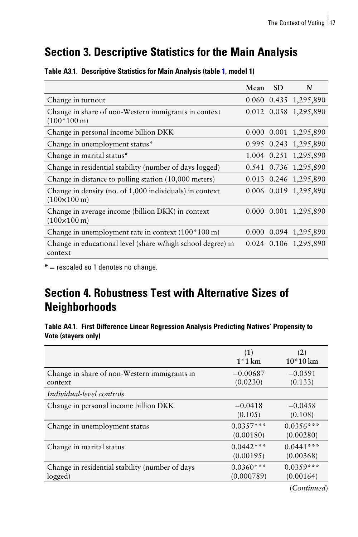## <span id="page-16-0"></span>Section 3. Descriptive Statistics for the Main Analysis

|                                                                                       | Mean | <b>SD</b> | N                     |
|---------------------------------------------------------------------------------------|------|-----------|-----------------------|
| Change in turnout                                                                     |      |           | 0.060 0.435 1,295,890 |
| Change in share of non-Western immigrants in context<br>$(100*100 \text{ m})$         |      |           | 0.012 0.058 1,295,890 |
| Change in personal income billion DKK                                                 |      |           | 0.000 0.001 1,295,890 |
| Change in unemployment status*                                                        |      |           | 0.995 0.243 1,295,890 |
| Change in marital status*                                                             |      |           | 1.004 0.251 1,295,890 |
| Change in residential stability (number of days logged)                               |      |           | 0.541 0.736 1,295,890 |
| Change in distance to polling station (10,000 meters)                                 |      |           | 0.013 0.246 1,295,890 |
| Change in density (no. of 1,000 individuals) in context<br>$(100\times100 \text{ m})$ |      |           | 0.006 0.019 1,295,890 |
| Change in average income (billion DKK) in context<br>$(100\times100 \text{ m})$       |      |           | 0.000 0.001 1,295,890 |
| Change in unemployment rate in context (100*100 m)                                    |      |           | 0.000 0.094 1,295,890 |
| Change in educational level (share w/high school degree) in<br>context                |      |           | 0.024 0.106 1,295,890 |

Table A3.1. Descriptive Statistics for Main Analysis (table [1,](#page-8-0) model 1)

 $* =$  rescaled so 1 denotes no change.

# Section 4. Robustness Test with Alternative Sizes of Neighborhoods

#### Table A4.1. First Difference Linear Regression Analysis Predicting Natives' Propensity to Vote (stayers only)

|                                                            | (1)<br>$1*1$ km           | (2)<br>$10*10 \mathrm{km}$ |
|------------------------------------------------------------|---------------------------|----------------------------|
| Change in share of non-Western immigrants in<br>context    | $-0.00687$<br>(0.0230)    | $-0.0591$<br>(0.133)       |
| Individual-level controls                                  |                           |                            |
| Change in personal income billion DKK                      | $-0.0418$<br>(0.105)      | $-0.0458$<br>(0.108)       |
| Change in unemployment status                              | $0.0357***$<br>(0.00180)  | $0.0356***$<br>(0.00280)   |
| Change in marital status                                   | $0.0442***$<br>(0.00195)  | $0.0441***$<br>(0.00368)   |
| Change in residential stability (number of days<br>logged) | $0.0360***$<br>(0.000789) | $0.0359***$<br>(0.00164)   |
|                                                            |                           | (Continued)                |

(Continued)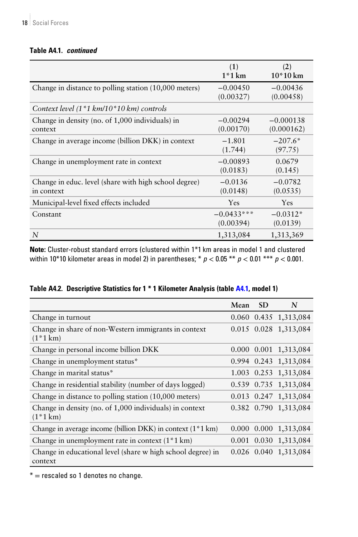### Table A4.1. continued

|                                                                     | (1)<br>$1*1$ km           | (2)<br>$10*10 \mathrm{km}$ |
|---------------------------------------------------------------------|---------------------------|----------------------------|
| Change in distance to polling station (10,000 meters)               | $-0.00450$<br>(0.00327)   | $-0.00436$<br>(0.00458)    |
| Context level (1*1 km/10*10 km) controls                            |                           |                            |
| Change in density (no. of 1,000 individuals) in<br>context          | $-0.00294$<br>(0.00170)   | $-0.000138$<br>(0.000162)  |
| Change in average income (billion DKK) in context                   | $-1.801$<br>(1.744)       | $-207.6*$<br>(97.75)       |
| Change in unemployment rate in context                              | $-0.00893$<br>(0.0183)    | 0.0679<br>(0.145)          |
| Change in educ. level (share with high school degree)<br>in context | $-0.0136$<br>(0.0148)     | $-0.0782$<br>(0.0535)      |
| Municipal-level fixed effects included                              | Yes                       | <b>Yes</b>                 |
| Constant                                                            | $-0.0433***$<br>(0.00394) | $-0.0312*$<br>(0.0139)     |
| N                                                                   | 1,313,084                 | 1,313,369                  |

Note: Cluster-robust standard errors (clustered within 1<sup>\*</sup>1 km areas in model 1 and clustered within 10\*10 kilometer areas in model 2) in parentheses; \*  $p < 0.05$  \*\*  $p < 0.01$  \*\*\*  $p < 0.001$ .

|                                                                         | Mean | <b>SD</b> | N                     |
|-------------------------------------------------------------------------|------|-----------|-----------------------|
| Change in turnout                                                       |      |           | 0.060 0.435 1,313,084 |
| Change in share of non-Western immigrants in context<br>$(1*1 km)$      |      |           | 0.015 0.028 1,313,084 |
| Change in personal income billion DKK                                   |      |           | 0.000 0.001 1,313,084 |
| Change in unemployment status*                                          |      |           | 0.994 0.243 1,313,084 |
| Change in marital status*                                               |      |           | 1.003 0.253 1,313,084 |
| Change in residential stability (number of days logged)                 |      |           | 0.539 0.735 1,313,084 |
| Change in distance to polling station (10,000 meters)                   |      |           | 0.013 0.247 1,313,084 |
| Change in density (no. of 1,000 individuals) in context<br>$(1*1 km)$   |      |           | 0.382 0.790 1,313,084 |
| Change in average income (billion DKK) in context (1 <sup>*</sup> 1 km) |      |           | 0.000 0.000 1,313,084 |
| Change in unemployment rate in context (1*1 km)                         |      |           | 0.001 0.030 1,313,084 |
| Change in educational level (share w high school degree) in<br>context  |      |           | 0.026 0.040 1,313,084 |

#### Table A4.2. Descriptive Statistics for 1 \* 1 Kilometer Analysis (table [A4.1,](#page-16-0) model 1)

 $* =$  rescaled so 1 denotes no change.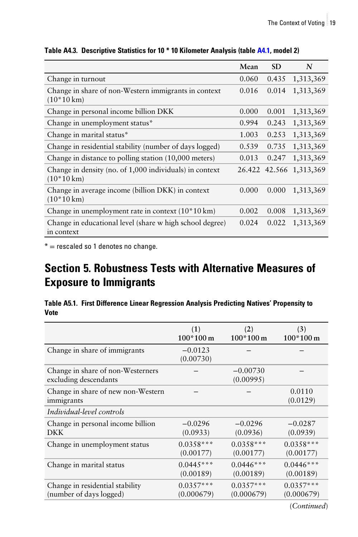|                                                                                 | Mean  | <b>SD</b> | N                       |
|---------------------------------------------------------------------------------|-------|-----------|-------------------------|
| Change in turnout                                                               | 0.060 | 0.435     | 1,313,369               |
| Change in share of non-Western immigrants in context<br>$(10*10 \text{ km})$    | 0.016 | 0.014     | 1,313,369               |
| Change in personal income billion DKK                                           | 0.000 | 0.001     | 1,313,369               |
| Change in unemployment status*                                                  | 0.994 | 0.243     | 1,313,369               |
| Change in marital status*                                                       | 1.003 | 0.253     | 1,313,369               |
| Change in residential stability (number of days logged)                         | 0.539 | 0.735     | 1,313,369               |
| Change in distance to polling station (10,000 meters)                           | 0.013 | 0.247     | 1,313,369               |
| Change in density (no. of 1,000 individuals) in context<br>$(10*10 \text{ km})$ |       |           | 26.422 42.566 1,313,369 |
| Change in average income (billion DKK) in context<br>$(10*10 \text{ km})$       | 0.000 | 0.000     | 1,313,369               |
| Change in unemployment rate in context (10*10 km)                               | 0.002 | 0.008     | 1,313,369               |
| Change in educational level (share w high school degree)<br>in context          | 0.024 | 0.022     | 1,313,369               |

### <span id="page-18-0"></span>Table A4.3. Descriptive Statistics for 10 \* 10 Kilometer Analysis (table [A4.1,](#page-16-0) model 2)

 $* =$  rescaled so 1 denotes no change.

# Section 5. Robustness Tests with Alternative Measures of Exposure to Immigrants

#### Table A5.1. First Difference Linear Regression Analysis Predicting Natives' Propensity to Vote

|                                                            | (1)                    | (2)                     | (3)                 |
|------------------------------------------------------------|------------------------|-------------------------|---------------------|
|                                                            | $100*100 \text{ m}$    | $100*100 \text{ m}$     | $100*100 \text{ m}$ |
| Change in share of immigrants                              | $-0.0123$<br>(0.00730) |                         |                     |
| Change in share of non-Westerners<br>excluding descendants |                        | $-0.00730$<br>(0.00995) |                     |
| Change in share of new non-Western<br>immigrants           |                        |                         | 0.0110<br>(0.0129)  |
| Individual-level controls                                  |                        |                         |                     |
| Change in personal income billion                          | $-0.0296$              | $-0.0296$               | $-0.0287$           |
| <b>DKK</b>                                                 | (0.0933)               | (0.0936)                | (0.0939)            |
| Change in unemployment status                              | $0.0358***$            | $0.0358***$             | $0.0358***$         |
|                                                            | (0.00177)              | (0.00177)               | (0.00177)           |
| Change in marital status                                   | $0.0445***$            | $0.0446***$             | $0.0446***$         |
|                                                            | (0.00189)              | (0.00189)               | (0.00189)           |
| Change in residential stability                            | $0.0357***$            | $0.0357***$             | $0.0357***$         |
| (number of days logged)                                    | (0.000679)             | (0.000679)              | (0.000679)          |

(Continued)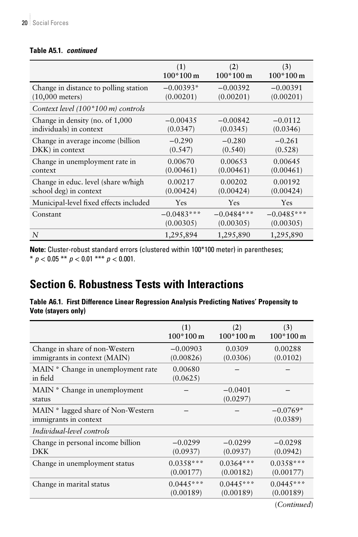<span id="page-19-0"></span>

|  |  | Table A5.1. continued |
|--|--|-----------------------|
|--|--|-----------------------|

|                                        | (1)                    | (2)                    | (3)                    |
|----------------------------------------|------------------------|------------------------|------------------------|
|                                        | $100*100 \,\mathrm{m}$ | $100*100 \,\mathrm{m}$ | $100*100 \,\mathrm{m}$ |
| Change in distance to polling station  | $-0.00393*$            | $-0.00392$             | $-0.00391$             |
| $(10,000$ meters)                      | (0.00201)              | (0.00201)              | (0.00201)              |
| Context level $(100*100 m)$ controls   |                        |                        |                        |
| Change in density (no. of 1,000        | $-0.00435$             | $-0.00842$             | $-0.0112$              |
| individuals) in context                | (0.0347)               | (0.0345)               | (0.0346)               |
| Change in average income (billion      | $-0.290$               | $-0.280$               | $-0.261$               |
| DKK) in context                        | (0.547)                | (0.540)                | (0.528)                |
| Change in unemployment rate in         | 0.00670                | 0.00653                | 0.00645                |
| context                                | (0.00461)              | (0.00461)              | (0.00461)              |
| Change in educ. level (share w/high    | 0.00217                | 0.00202                | 0.00192                |
| school deg) in context                 | (0.00424)              | (0.00424)              | (0.00424)              |
| Municipal-level fixed effects included | <b>Yes</b>             | <b>Yes</b>             | Yes                    |
| Constant                               | $-0.0483***$           | $-0.0484***$           | $-0.0485***$           |
|                                        | (0.00305)              | (0.00305)              | (0.00305)              |
| N                                      | 1,295,894              | 1,295,890              | 1,295,890              |

Note: Cluster-robust standard errors (clustered within 100\*100 meter) in parentheses; \*  $p < 0.05$  \*\*  $p < 0.01$  \*\*\*  $p < 0.001$ .

# Section 6. Robustness Tests with Interactions

Table A6.1. First Difference Linear Regression Analysis Predicting Natives' Propensity to Vote (stayers only)

|                                                             | (1)                 | (2)                   | (3)                    |
|-------------------------------------------------------------|---------------------|-----------------------|------------------------|
|                                                             | $100*100 \text{ m}$ | $100*100m$            | $100*100 \text{ m}$    |
| Change in share of non-Western                              | $-0.00903$          | 0.0309                | 0.00288                |
| immigrants in context (MAIN)                                | (0.00826)           | (0.0306)              | (0.0102)               |
| MAIN * Change in unemployment rate<br>in field              | 0.00680<br>(0.0625) |                       |                        |
| MAIN * Change in unemployment<br>status                     |                     | $-0.0401$<br>(0.0297) |                        |
| MAIN * lagged share of Non-Western<br>immigrants in context |                     |                       | $-0.0769*$<br>(0.0389) |
| Individual-level controls                                   |                     |                       |                        |
| Change in personal income billion                           | $-0.0299$           | $-0.0299$             | $-0.0298$              |
| <b>DKK</b>                                                  | (0.0937)            | (0.0937)              | (0.0942)               |
| Change in unemployment status                               | $0.0358***$         | $0.0364***$           | $0.0358***$            |
|                                                             | (0.00177)           | (0.00182)             | (0.00177)              |
| Change in marital status                                    | $0.0445***$         | $0.0445***$           | $0.0445***$            |
|                                                             | (0.00189)           | (0.00189)             | (0.00189)              |

(Continued)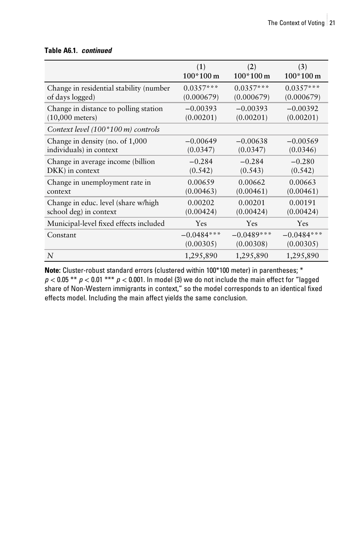|                                         | (1)                 | (2)                 | (3)                 |
|-----------------------------------------|---------------------|---------------------|---------------------|
|                                         | $100*100 \text{ m}$ | $100*100 \text{ m}$ | $100*100 \text{ m}$ |
| Change in residential stability (number | $0.0357***$         | $0.0357***$         | $0.0357***$         |
| of days logged)                         | (0.000679)          | (0.000679)          | (0.000679)          |
| Change in distance to polling station   | $-0.00393$          | $-0.00393$          | $-0.00392$          |
| $(10,000$ meters)                       | (0.00201)           | (0.00201)           | (0.00201)           |
| Context level (100*100 m) controls      |                     |                     |                     |
| Change in density (no. of $1,000$ )     | $-0.00649$          | $-0.00638$          | $-0.00569$          |
| individuals) in context                 | (0.0347)            | (0.0347)            | (0.0346)            |
| Change in average income (billion       | $-0.284$            | $-0.284$            | $-0.280$            |
| DKK) in context                         | (0.542)             | (0.543)             | (0.542)             |
| Change in unemployment rate in          | 0.00659             | 0.00662             | 0.00663             |
| context                                 | (0.00463)           | (0.00461)           | (0.00461)           |
| Change in educ. level (share w/high     | 0.00202             | 0.00201             | 0.00191             |
| school deg) in context                  | (0.00424)           | (0.00424)           | (0.00424)           |
| Municipal-level fixed effects included  | Yes                 | Yes                 | Yes                 |
| Constant                                | $-0.0484***$        | $-0.0489***$        | $-0.0484***$        |
|                                         | (0.00305)           | (0.00308)           | (0.00305)           |
| N                                       | 1,295,890           | 1,295,890           | 1,295,890           |

### Table A6.1. continued

Note: Cluster-robust standard errors (clustered within 100\*100 meter) in parentheses; \*  $p < 0.05$  \*\*  $p < 0.01$  \*\*\*  $p < 0.001$ . In model (3) we do not include the main effect for "lagged share of Non-Western immigrants in context," so the model corresponds to an identical fixed effects model. Including the main affect yields the same conclusion.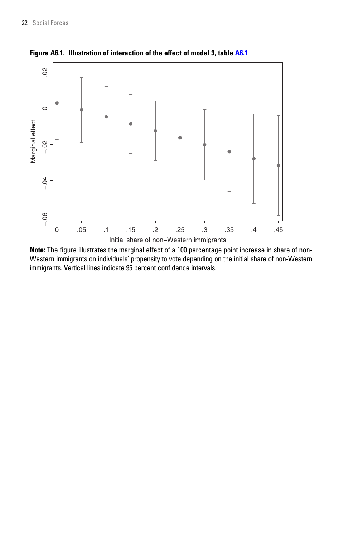

<span id="page-21-0"></span>Figure [A6.1](#page-19-0). Illustration of interaction of the effect of model 3, table A6.1

Note: The figure illustrates the marginal effect of a 100 percentage point increase in share of non-Western immigrants on individuals' propensity to vote depending on the initial share of non-Western immigrants. Vertical lines indicate 95 percent confidence intervals.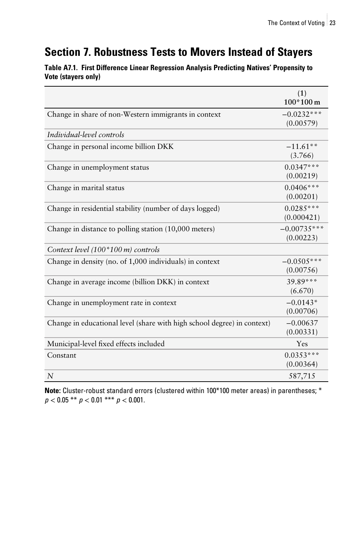# <span id="page-22-0"></span>Section 7. Robustness Tests to Movers Instead of Stayers

Table A7.1. First Difference Linear Regression Analysis Predicting Natives' Propensity to Vote (stayers only)

|                                                                         | (1)<br>$100*100 \text{ m}$ |
|-------------------------------------------------------------------------|----------------------------|
| Change in share of non-Western immigrants in context                    | $-0.0232***$<br>(0.00579)  |
| Individual-level controls                                               |                            |
| Change in personal income billion DKK                                   | $-11.61**$<br>(3.766)      |
| Change in unemployment status                                           | $0.0347***$<br>(0.00219)   |
| Change in marital status                                                | $0.0406***$<br>(0.00201)   |
| Change in residential stability (number of days logged)                 | $0.0285***$<br>(0.000421)  |
| Change in distance to polling station (10,000 meters)                   | $-0.00735***$<br>(0.00223) |
| Context level (100*100 m) controls                                      |                            |
| Change in density (no. of 1,000 individuals) in context                 | $-0.0505***$<br>(0.00756)  |
| Change in average income (billion DKK) in context                       | 39.89***<br>(6.670)        |
| Change in unemployment rate in context                                  | $-0.0143*$<br>(0.00706)    |
| Change in educational level (share with high school degree) in context) | $-0.00637$<br>(0.00331)    |
| Municipal-level fixed effects included                                  | Yes                        |
| Constant                                                                | $0.0353***$<br>(0.00364)   |
| N                                                                       | 587,715                    |

Note: Cluster-robust standard errors (clustered within 100\*100 meter areas) in parentheses; \*  $p < 0.05$  \*\*  $p < 0.01$  \*\*\*  $p < 0.001$ .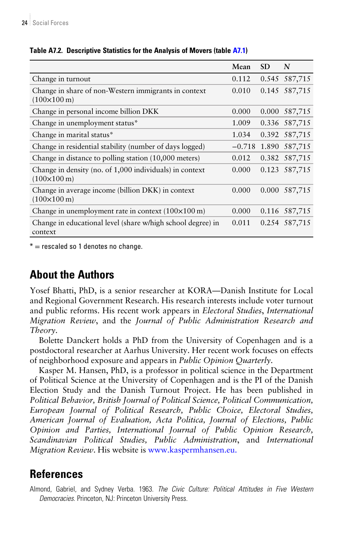|                                                                                          | Mean     | <b>SD</b> | N             |
|------------------------------------------------------------------------------------------|----------|-----------|---------------|
| Change in turnout                                                                        | 0.112    |           | 0.545 587,715 |
| Change in share of non-Western immigrants in context<br>$(100\times100 \text{ m})$       | 0.010    |           | 0.145 587,715 |
| Change in personal income billion DKK                                                    | 0.000    | 0.000     | 587,715       |
| Change in unemployment status*                                                           | 1.009    |           | 0.336 587,715 |
| Change in marital status*                                                                | 1.034    |           | 0.392 587,715 |
| Change in residential stability (number of days logged)                                  | $-0.718$ |           | 1.890 587,715 |
| Change in distance to polling station (10,000 meters)                                    | 0.012    |           | 0.382 587,715 |
| Change in density (no. of 1,000 individuals) in context<br>$(100\times100 \,\mathrm{m})$ | 0.000    |           | 0.123 587,715 |
| Change in average income (billion DKK) in context<br>$(100\times100 \text{ m})$          | 0.000    | 0.000     | 587,715       |
| Change in unemployment rate in context (100×100 m)                                       | 0.000    |           | 0.116 587,715 |
| Change in educational level (share w/high school degree) in<br>context                   | 0.011    |           | 0.254 587,715 |

#### <span id="page-23-0"></span>Table A7.2. Descriptive Statistics for the Analysis of Movers (table [A7.1](#page-22-0))

 $* =$  rescaled so 1 denotes no change.

## About the Authors

Yosef Bhatti, PhD, is a senior researcher at KORA—Danish Institute for Local and Regional Government Research. His research interests include voter turnout and public reforms. His recent work appears in Electoral Studies, International Migration Review, and the Journal of Public Administration Research and Theory.

Bolette Danckert holds a PhD from the University of Copenhagen and is a postdoctoral researcher at Aarhus University. Her recent work focuses on effects of neighborhood exposure and appears in Public Opinion Quarterly.

Kasper M. Hansen, PhD, is a professor in political science in the Department of Political Science at the University of Copenhagen and is the PI of the Danish Election Study and the Danish Turnout Project. He has been published in Political Behavior, British Journal of Political Science, Political Communication, European Journal of Political Research, Public Choice, Electoral Studies, American Journal of Evaluation, Acta Politica, Journal of Elections, Public Opinion and Parties, International Journal of Public Opinion Research, Scandinavian Political Studies, Public Administration, and International Migration Review. His website is [www.kaspermhansen.eu.](http://www.kaspermhansen.eu)

## References

Almond, Gabriel, and Sydney Verba. 1963. The Civic Culture: Political Attitudes in Five Western Democracies. Princeton, NJ: Princeton University Press.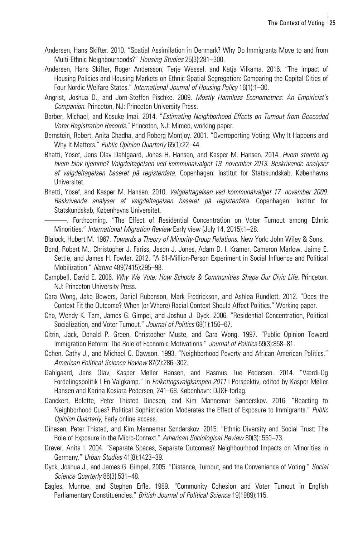- <span id="page-24-0"></span>Andersen, Hans Skifter. 2010. "Spatial Assimilation in Denmark? Why Do Immigrants Move to and from Multi-Ethnic Neighbourhoods?" Housing Studies 25(3):281–300.
- Andersen, Hans Skifter, Roger Andersson, Terje Wessel, and Katja Vilkama. 2016. "The Impact of Housing Policies and Housing Markets on Ethnic Spatial Segregation: Comparing the Capital Cities of Four Nordic Welfare States." International Journal of Housing Policy 16(1):1–30.
- Angrist, Joshua D., and Jörn-Steffen Pischke. 2009. Mostly Harmless Econometrics: An Empiricist's Companion. Princeton, NJ: Princeton University Press.
- Barber, Michael, and Kosuke Imai. 2014. "Estimating Neighborhood Effects on Turnout from Geocoded Voter Registration Records." Princeton, NJ: Mimeo, working paper.
- Bernstein, Robert, Anita Chadha, and Roberg Montjoy. 2001. "Overreporting Voting: Why It Happens and Why It Matters." Public Opinion Quarterly 65(1):22–44.
- Bhatti, Yosef, Jens Olav Dahlgaard, Jonas H. Hansen, and Kasper M. Hansen. 2014. Hvem stemte og hvem blev hjemme? Valgdeltagelsen ved kommunalvalget 19. november 2013. Beskrivende analyser af valgdeltagelsen baseret på registerdata. Copenhagen: Institut for Statskundskab, Københavns Universitet.
- Bhatti, Yosef, and Kasper M. Hansen. 2010. Valgdeltagelsen ved kommunalvalget 17. november 2009: Beskrivende analyser af valgdeltagelsen baseret på registerdata. Copenhagen: Institut for Statskundskab, Københavns Universitet.
- ———. Forthcoming. "The Effect of Residential Concentration on Voter Turnout among Ethnic Minorities." International Migration Review Early view (July 14, 2015):1–28.
- Blalock, Hubert M. 1967. Towards a Theory of Minority-Group Relations. New York: John Wiley & Sons.
- Bond, Robert M., Christopher J. Fariss, Jason J. Jones, Adam D. I. Kramer, Cameron Marlow, Jaime E. Settle, and James H. Fowler. 2012. "A 61-Million-Person Experiment in Social Influence and Political Mobilization." Nature 489(7415):295–98.
- Campbell, David E. 2006. Why We Vote: How Schools & Communities Shape Our Civic Life. Princeton, NJ: Princeton University Press.
- Cara Wong, Jake Bowers, Daniel Rubenson, Mark Fredrickson, and Ashlea Rundlett. 2012. "Does the Context Fit the Outcome? When (or Where) Racial Context Should Affect Politics." Working paper.
- Cho, Wendy K. Tam, James G. Gimpel, and Joshua J. Dyck. 2006. "Residential Concentration, Political Socialization, and Voter Turnout." Journal of Politics 68(1):156-67.
- Citrin, Jack, Donald P. Green, Christopher Muste, and Cara Wong. 1997. "Public Opinion Toward Immigration Reform: The Role of Economic Motivations." Journal of Politics 59(3):858-81.
- Cohen, Cathy J., and Michael C. Dawson. 1993. "Neighborhood Poverty and African American Politics." American Political Science Review 87(2):286–302.
- Dahlgaard, Jens Olav, Kasper Møller Hansen, and Rasmus Tue Pedersen. 2014. "Værdi-Og Fordelingspolitik I En Valgkamp." In *Folketingsvalgkampen 2011* I Perspektiv, edited by Kasper Møller Hansen and Karina Kosiara-Pedersen, 241–68. København: DJØF-forlag.
- Danckert, Bolette, Peter Thisted Dinesen, and Kim Mannemar Sønderskov. 2016. "Reacting to Neighborhood Cues? Political Sophistication Moderates the Effect of Exposure to Immigrants." Public Opinion Quarterly, Early online access.
- Dinesen, Peter Thisted, and Kim Mannemar Sønderskov. 2015. "Ethnic Diversity and Social Trust: The Role of Exposure in the Micro-Context." American Sociological Review 80(3): 550–73.
- Drever, Anita I. 2004. "Separate Spaces, Separate Outcomes? Neighbourhood Impacts on Minorities in Germany." Urban Studies 41(8):1423–39.
- Dyck, Joshua J., and James G. Gimpel. 2005. "Distance, Turnout, and the Convenience of Voting." Social Science Quarterly 86(3):531–48.
- Eagles, Munroe, and Stephen Erfle. 1989. "Community Cohesion and Voter Turnout in English Parliamentary Constituencies." British Journal of Political Science 19(1989):115.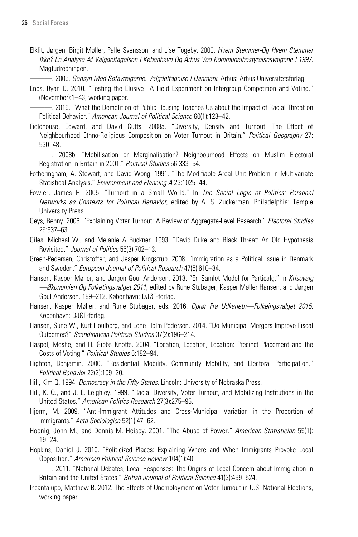<span id="page-25-0"></span>Elklit, Jørgen, Birgit Møller, Palle Svensson, and Lise Togeby. 2000. Hvem Stemmer-Og Hvem Stemmer Ikke? En Analyse Af Valgdeltagelsen I København Og Århus Ved Kommunalbestyrelsesvalgene I 1997. Magtudredningen.

–. 2005. *Gensyn Med Sofavælgerne. Valgdeltagelse I Danmark*. Århus: Århus Universitetsforlag.

Enos, Ryan D. 2010. "Testing the Elusive : A Field Experiment on Intergroup Competition and Voting." (November):1–43, working paper.

-. 2016. "What the Demolition of Public Housing Teaches Us about the Impact of Racial Threat on Political Behavior." American Journal of Political Science 60(1):123-42.

Fieldhouse, Edward, and David Cutts. 2008a. "Diversity, Density and Turnout: The Effect of Neighbourhood Ethno-Religious Composition on Voter Turnout in Britain." Political Geography 27: 530–48.

———. 2008b. "Mobilisation or Marginalisation? Neighbourhood Effects on Muslim Electoral Registration in Britain in 2001." Political Studies 56:333–54.

- Fotheringham, A. Stewart, and David Wong. 1991. "The Modifiable Areal Unit Problem in Multivariate Statistical Analysis." Environment and Planning A 23:1025–44.
- Fowler, James H. 2005. "Turnout in a Small World." In The Social Logic of Politics: Personal Networks as Contexts for Political Behavior, edited by A. S. Zuckerman. Philadelphia: Temple University Press.
- Geys, Benny. 2006. "Explaining Voter Turnout: A Review of Aggregate-Level Research." Electoral Studies 25:637–63.
- Giles, Micheal W., and Melanie A Buckner. 1993. "David Duke and Black Threat: An Old Hypothesis Revisited." Journal of Politics 55(3):702–13.
- Green-Pedersen, Christoffer, and Jesper Krogstrup. 2008. "Immigration as a Political Issue in Denmark and Sweden." European Journal of Political Research 47(5):610–34.
- Hansen, Kasper Møller, and Jørgen Goul Andersen. 2013. "En Samlet Model for Particalg." In Krisevalg —Økonomien Og Folketingsvalget 2011, edited by Rune Stubager, Kasper Møller Hansen, and Jørgen Goul Andersen, 189–212. København: DJØF-forlag.
- Hansen, Kasper Møller, and Rune Stubager, eds. 2016. Oprør Fra Udkanetn—Folkeingsvalget 2015. København: DJØF-forlag.
- Hansen, Sune W., Kurt Houlberg, and Lene Holm Pedersen. 2014. "Do Municipal Mergers Improve Fiscal Outcomes?" Scandinavian Political Studies 37(2):196–214.
- Haspel, Moshe, and H. Gibbs Knotts. 2004. "Location, Location, Location: Precinct Placement and the Costs of Voting." Political Studies 6:182–94.
- Highton, Benjamin. 2000. "Residential Mobility, Community Mobility, and Electoral Participation." Political Behavior 22(2):109–20.
- Hill, Kim Q. 1994. Democracy in the Fifty States. Lincoln: University of Nebraska Press.
- Hill, K. Q., and J. E. Leighley. 1999. "Racial Diversity, Voter Turnout, and Mobilizing Institutions in the United States." American Politics Research 27(3):275–95.
- Hjerm, M. 2009. "Anti-Immigrant Attitudes and Cross-Municipal Variation in the Proportion of Immigrants." Acta Sociologica 52(1):47–62.
- Hoenig, John M., and Dennis M. Heisey. 2001. "The Abuse of Power." American Statistician 55(1): 19–24.
- Hopkins, Daniel J. 2010. "Politicized Places: Explaining Where and When Immigrants Provoke Local Opposition." American Political Science Review 104(1):40.

———. 2011. "National Debates, Local Responses: The Origins of Local Concern about Immigration in Britain and the United States." British Journal of Political Science 41(3):499-524.

Incantalupo, Matthew B. 2012. The Effects of Unemployment on Voter Turnout in U.S. National Elections, working paper.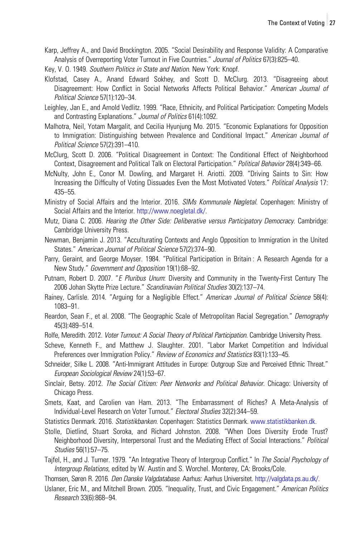- <span id="page-26-0"></span>Karp, Jeffrey A., and David Brockington. 2005. "Social Desirability and Response Validity: A Comparative Analysis of Overreporting Voter Turnout in Five Countries." Journal of Politics 67(3):825-40.
- Key, V. O. 1949. Southern Politics in State and Nation. New York: Knopf.
- Klofstad, Casey A., Anand Edward Sokhey, and Scott D. McClurg. 2013. "Disagreeing about Disagreement: How Conflict in Social Networks Affects Political Behavior." American Journal of Political Science 57(1):120–34.
- Leighley, Jan E., and Arnold Vedlitz. 1999. "Race, Ethnicity, and Political Participation: Competing Models and Contrasting Explanations." Journal of Politics 61(4):1092.
- Malhotra, Neil, Yotam Margalit, and Cecilia Hyunjung Mo. 2015. "Economic Explanations for Opposition to Immigration: Distinguishing between Prevalence and Conditional Impact." American Journal of Political Science 57(2):391–410.
- McClurg, Scott D. 2006. "Political Disagreement in Context: The Conditional Effect of Neighborhood Context, Disagreement and Political Talk on Electoral Participation." Political Behavior 28(4):349–66.
- McNulty, John E., Conor M. Dowling, and Margaret H. Ariotti. 2009. "Driving Saints to Sin: How Increasing the Difficulty of Voting Dissuades Even the Most Motivated Voters." Political Analysis 17: 435–55.
- Ministry of Social Affairs and the Interior. 2016. SIMs Kommunale Nøgletal. Copenhagen: Ministry of Social Affairs and the Interior. [http://www.noegletal.dk/.](http://www.noegletal.dk/)
- Mutz, Diana C. 2006. Hearing the Other Side: Deliberative versus Participatory Democracy. Cambridge: Cambridge University Press.
- Newman, Benjamin J. 2013. "Acculturating Contexts and Anglo Opposition to Immigration in the United States." American Journal of Political Science 57(2):374–90.
- Parry, Geraint, and George Moyser. 1984. "Political Participation in Britain : A Research Agenda for a New Study." Government and Opposition 19(1):68–92.
- Putnam, Robert D. 2007. "E Pluribus Unum: Diversity and Community in the Twenty-First Century The 2006 Johan Skytte Prize Lecture." Scandinavian Political Studies 30(2):137–74.
- Rainey, Carlisle. 2014. "Arguing for a Negligible Effect." American Journal of Political Science 58(4): 1083–91.
- Reardon, Sean F., et al. 2008. "The Geographic Scale of Metropolitan Racial Segregation." Demography 45(3):489–514.
- Rolfe, Meredith. 2012. Voter Turnout: A Social Theory of Political Participation. Cambridge University Press.
- Scheve, Kenneth F., and Matthew J. Slaughter. 2001. "Labor Market Competition and Individual Preferences over Immigration Policy." Review of Economics and Statistics 83(1):133-45.
- Schneider, Silke L. 2008. "Anti-Immigrant Attitudes in Europe: Outgroup Size and Perceived Ethnic Threat." European Sociological Review 24(1):53–67.
- Sinclair, Betsy. 2012. The Social Citizen: Peer Networks and Political Behavior. Chicago: University of Chicago Press.
- Smets, Kaat, and Carolien van Ham. 2013. "The Embarrassment of Riches? A Meta-Analysis of Individual-Level Research on Voter Turnout." Electoral Studies 32(2):344-59.
- Statistics Denmark. 2016. Statistikbanken. Copenhagen: Statistics Denmark. [www.statistikbanken.dk](http://www.statistikbanken.dk).
- Stolle, Dietlind, Stuart Soroka, and Richard Johnston. 2008. "When Does Diversity Erode Trust? Neighborhood Diversity, Interpersonal Trust and the Mediating Effect of Social Interactions." Political Studies 56(1):57–75.
- Tajfel, H., and J. Turner. 1979. "An Integrative Theory of Intergroup Conflict." In The Social Psychology of Intergroup Relations, edited by W. Austin and S. Worchel. Monterey, CA: Brooks/Cole.
- Thomsen, Søren R. 2016. Den Danske Valgdatabase. Aarhus: Aarhus Universitet. [http://valgdata.ps.au.dk/.](http://valgdata.ps.au.dk/)
- Uslaner, Eric M., and Mitchell Brown. 2005. "Inequality, Trust, and Civic Engagement." American Politics Research 33(6):868–94.